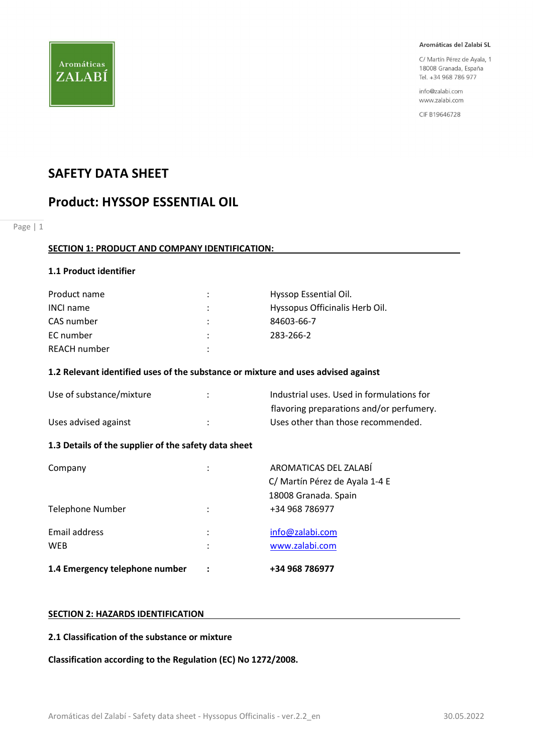

C/ Martín Pérez de Ayala, 1 18008 Granada, España Tel. +34 968 786 977

info@zalabi.com www.zalabi.com

CIF B19646728

# SAFETY DATA SHEET

# Product: HYSSOP ESSENTIAL OIL

Page | 1

## SECTION 1: PRODUCT AND COMPANY IDENTIFICATION:

## 1.1 Product identifier

| Product name     | :              | Hyssop Essential Oil.          |
|------------------|----------------|--------------------------------|
| <b>INCI name</b> | ÷              | Hyssopus Officinalis Herb Oil. |
| CAS number       | $\ddot{\cdot}$ | 84603-66-7                     |
| EC number        | ٠              | 283-266-2                      |
| REACH number     | ٠              |                                |

#### 1.2 Relevant identified uses of the substance or mixture and uses advised against

| Use of substance/mixture | Industrial uses. Used in formulations for |
|--------------------------|-------------------------------------------|
|                          | flavoring preparations and/or perfumery.  |
| Uses advised against     | Uses other than those recommended.        |

## 1.3 Details of the supplier of the safety data sheet

| 1.4 Emergency telephone number |        | +34 968 786977                                          |
|--------------------------------|--------|---------------------------------------------------------|
| Email address<br><b>WEB</b>    | ٠<br>٠ | info@zalabi.com<br>www.zalabi.com                       |
| Telephone Number               |        | 18008 Granada. Spain<br>+34 968 786977                  |
| Company                        | ٠      | AROMATICAS DEL ZALABÍ<br>C/ Martín Pérez de Ayala 1-4 E |

## SECTION 2: HAZARDS IDENTIFICATION

#### 2.1 Classification of the substance or mixture

Classification according to the Regulation (EC) No 1272/2008.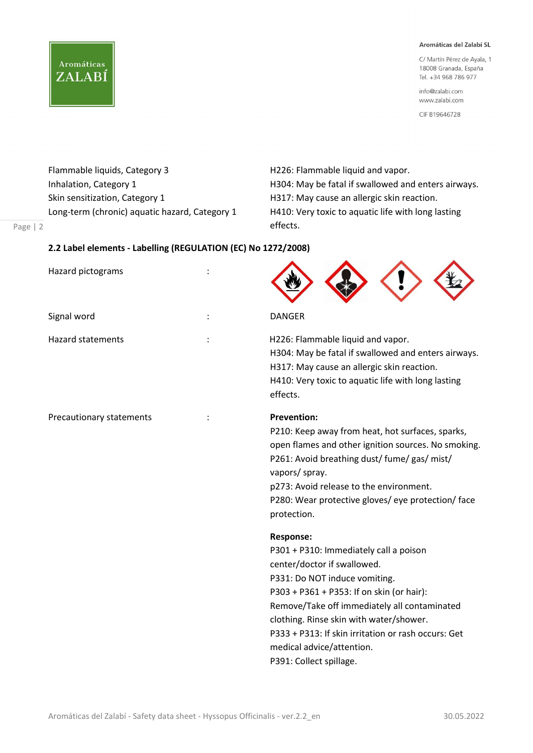C/ Martín Pérez de Ayala, 1 18008 Granada, España Tel. +34 968 786 977

info@zalabi.com www.zalabi.com

CIF B19646728

Flammable liquids, Category 3 H226: Flammable liquid and vapor. Skin sensitization, Category 1 **H317:** May cause an allergic skin reaction.

Page | 2

**Aromáticas** 

ZALABÍ

Inhalation, Category 1 **H304: May be fatal if swallowed and enters airways.** Long-term (chronic) aquatic hazard, Category 1 H410: Very toxic to aquatic life with long lasting effects.

#### 2.2 Label elements - Labelling (REGULATION (EC) No 1272/2008)

| Hazard pictograms        |                                                                                                                                                                                                                                                                                                                                                                                                                                                                                                                                                                                                                                                                                                      |
|--------------------------|------------------------------------------------------------------------------------------------------------------------------------------------------------------------------------------------------------------------------------------------------------------------------------------------------------------------------------------------------------------------------------------------------------------------------------------------------------------------------------------------------------------------------------------------------------------------------------------------------------------------------------------------------------------------------------------------------|
| Signal word              | <b>DANGER</b>                                                                                                                                                                                                                                                                                                                                                                                                                                                                                                                                                                                                                                                                                        |
| <b>Hazard statements</b> | H226: Flammable liquid and vapor.<br>H304: May be fatal if swallowed and enters airways.<br>H317: May cause an allergic skin reaction.<br>H410: Very toxic to aquatic life with long lasting<br>effects.                                                                                                                                                                                                                                                                                                                                                                                                                                                                                             |
| Precautionary statements | <b>Prevention:</b><br>P210: Keep away from heat, hot surfaces, sparks,<br>open flames and other ignition sources. No smoking.<br>P261: Avoid breathing dust/ fume/ gas/ mist/<br>vapors/ spray.<br>p273: Avoid release to the environment.<br>P280: Wear protective gloves/ eye protection/ face<br>protection.<br><b>Response:</b><br>P301 + P310: Immediately call a poison<br>center/doctor if swallowed.<br>P331: Do NOT induce vomiting.<br>P303 + P361 + P353: If on skin (or hair):<br>Remove/Take off immediately all contaminated<br>clothing. Rinse skin with water/shower.<br>P333 + P313: If skin irritation or rash occurs: Get<br>medical advice/attention.<br>P391: Collect spillage. |
|                          |                                                                                                                                                                                                                                                                                                                                                                                                                                                                                                                                                                                                                                                                                                      |

 $\blacktriangle$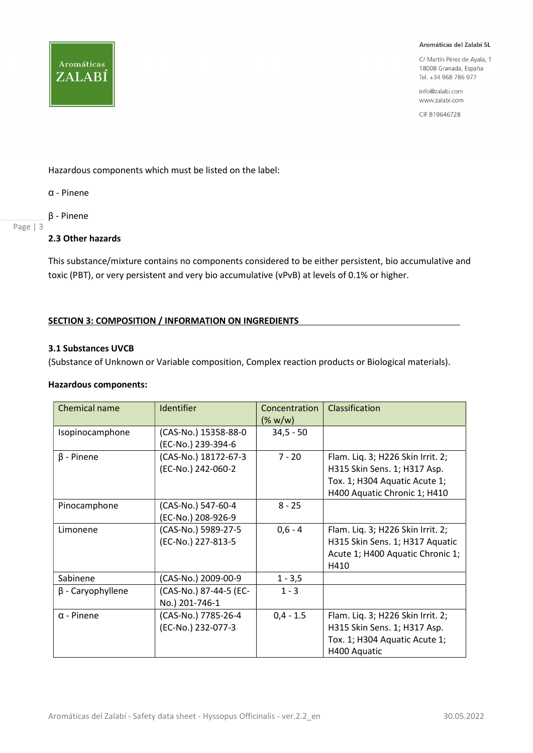C/ Martín Pérez de Ayala, 1 18008 Granada, España Tel. +34 968 786 977

info@zalabi.com www.zalabi.com

CIF B19646728

Hazardous components which must be listed on the label:

α - Pinene

**Aromáticas** 

ZALABÍ

β - Pinene

## Page | 3

## 2.3 Other hazards

This substance/mixture contains no components considered to be either persistent, bio accumulative and toxic (PBT), or very persistent and very bio accumulative (vPvB) at levels of 0.1% or higher.

## SECTION 3: COMPOSITION / INFORMATION ON INGREDIENTS

#### 3.1 Substances UVCB

(Substance of Unknown or Variable composition, Complex reaction products or Biological materials).

#### Hazardous components:

| Chemical name           | <b>Identifier</b>      | Concentration | Classification                    |
|-------------------------|------------------------|---------------|-----------------------------------|
|                         |                        | $(\% w/w)$    |                                   |
| Isopinocamphone         | (CAS-No.) 15358-88-0   | $34,5 - 50$   |                                   |
|                         | (EC-No.) 239-394-6     |               |                                   |
| $\beta$ - Pinene        | (CAS-No.) 18172-67-3   | $7 - 20$      | Flam. Liq. 3; H226 Skin Irrit. 2; |
|                         | (EC-No.) 242-060-2     |               | H315 Skin Sens. 1; H317 Asp.      |
|                         |                        |               | Tox. 1; H304 Aquatic Acute 1;     |
|                         |                        |               | H400 Aquatic Chronic 1; H410      |
| Pinocamphone            | (CAS-No.) 547-60-4     | $8 - 25$      |                                   |
|                         | (EC-No.) 208-926-9     |               |                                   |
| Limonene                | (CAS-No.) 5989-27-5    | $0,6 - 4$     | Flam. Liq. 3; H226 Skin Irrit. 2; |
|                         | (EC-No.) 227-813-5     |               | H315 Skin Sens. 1; H317 Aquatic   |
|                         |                        |               | Acute 1; H400 Aquatic Chronic 1;  |
|                         |                        |               | H410                              |
| Sabinene                | (CAS-No.) 2009-00-9    | $1 - 3,5$     |                                   |
| $\beta$ - Caryophyllene | (CAS-No.) 87-44-5 (EC- | $1 - 3$       |                                   |
|                         | No.) 201-746-1         |               |                                   |
| $\alpha$ - Pinene       | (CAS-No.) 7785-26-4    | $0,4 - 1.5$   | Flam. Liq. 3; H226 Skin Irrit. 2; |
|                         | (EC-No.) 232-077-3     |               | H315 Skin Sens. 1; H317 Asp.      |
|                         |                        |               | Tox. 1; H304 Aquatic Acute 1;     |
|                         |                        |               | H400 Aquatic                      |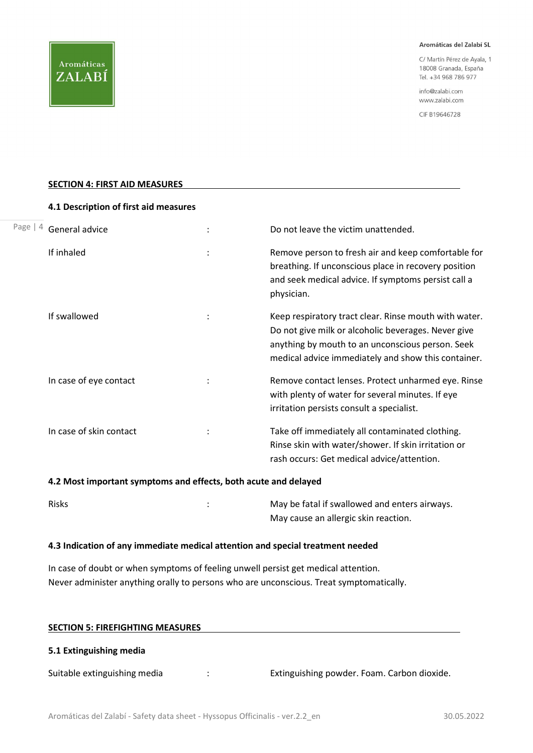C/ Martín Pérez de Ayala, 1 18008 Granada, España Tel. +34 968 786 977

info@zalabi.com www.zalabi.com

CIF B19646728

#### SECTION 4: FIRST AID MEASURES

|           | 4.1 Description of first aid measures |                |                                                                                                                                                                                                                         |
|-----------|---------------------------------------|----------------|-------------------------------------------------------------------------------------------------------------------------------------------------------------------------------------------------------------------------|
| Page $ 4$ | General advice                        |                | Do not leave the victim unattended.                                                                                                                                                                                     |
|           | If inhaled                            | $\ddot{\cdot}$ | Remove person to fresh air and keep comfortable for<br>breathing. If unconscious place in recovery position<br>and seek medical advice. If symptoms persist call a<br>physician.                                        |
|           | If swallowed                          | ÷              | Keep respiratory tract clear. Rinse mouth with water.<br>Do not give milk or alcoholic beverages. Never give<br>anything by mouth to an unconscious person. Seek<br>medical advice immediately and show this container. |
|           | In case of eye contact                |                | Remove contact lenses. Protect unharmed eye. Rinse<br>with plenty of water for several minutes. If eye<br>irritation persists consult a specialist.                                                                     |
|           | In case of skin contact               |                | Take off immediately all contaminated clothing.<br>Rinse skin with water/shower. If skin irritation or<br>rash occurs: Get medical advice/attention.                                                                    |

#### 4.2 Most important symptoms and effects, both acute and delayed

| <b>Risks</b> | May be fatal if swallowed and enters airways. |
|--------------|-----------------------------------------------|
|              | May cause an allergic skin reaction.          |

#### 4.3 Indication of any immediate medical attention and special treatment needed

In case of doubt or when symptoms of feeling unwell persist get medical attention. Never administer anything orally to persons who are unconscious. Treat symptomatically.

| <b>SECTION 5: FIREFIGHTING MEASURES</b> |   |                                             |  |
|-----------------------------------------|---|---------------------------------------------|--|
| 5.1 Extinguishing media                 |   |                                             |  |
| Suitable extinguishing media            | ÷ | Extinguishing powder. Foam. Carbon dioxide. |  |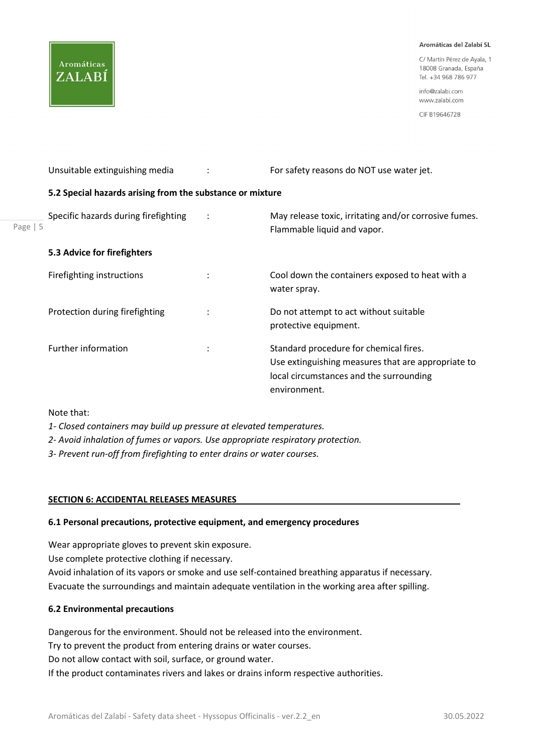C/ Martín Pérez de Avala 1 18008 Granada, España Tel. +34 968 786 977

info@zalabi.com www.zalabi.com

CIF B19646728

Page | 5 Unsuitable extinguishing media : For safety reasons do NOT use water jet. 5.2 Special hazards arising from the substance or mixture Specific hazards during firefighting : May release toxic, irritating and/or corrosive fumes. Flammable liquid and vapor. 5.3 Advice for firefighters Firefighting instructions : The Cool down the containers exposed to heat with a series of the containers exposed to heat with a water spray. Protection during firefighting : Do not attempt to act without suitable protective equipment. Further information  $\cdot$  : Standard procedure for chemical fires. Use extinguishing measures that are appropriate to local circumstances and the surrounding environment.

Note that:

Aromáticas

ZALABÍ

- 1- Closed containers may build up pressure at elevated temperatures.
- 2- Avoid inhalation of fumes or vapors. Use appropriate respiratory protection.

3- Prevent run-off from firefighting to enter drains or water courses.

## SECTION 6: ACCIDENTAL RELEASES MEASURES

#### 6.1 Personal precautions, protective equipment, and emergency procedures

Wear appropriate gloves to prevent skin exposure.

Use complete protective clothing if necessary.

Avoid inhalation of its vapors or smoke and use self-contained breathing apparatus if necessary. Evacuate the surroundings and maintain adequate ventilation in the working area after spilling.

## 6.2 Environmental precautions

Dangerous for the environment. Should not be released into the environment.

Try to prevent the product from entering drains or water courses.

Do not allow contact with soil, surface, or ground water.

If the product contaminates rivers and lakes or drains inform respective authorities.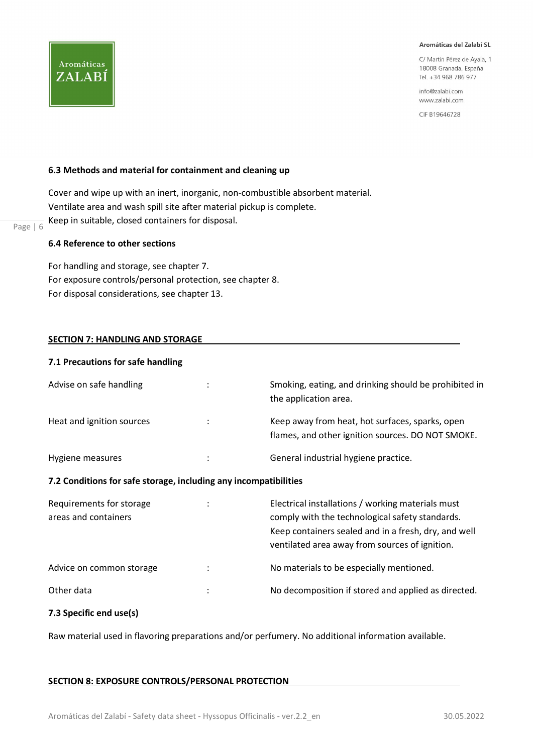C/ Martín Pérez de Ayala, 1 18008 Granada, España Tel. +34 968 786 977

info@zalabi.com www.zalabi.com

CIF B19646728

#### 6.3 Methods and material for containment and cleaning up

 $\frac{p_{\text{age}}}{p_{\text{age}} + 6}$  Keep in suitable, closed containers for disposal. Cover and wipe up with an inert, inorganic, non-combustible absorbent material. Ventilate area and wash spill site after material pickup is complete.

#### 6.4 Reference to other sections

For handling and storage, see chapter 7. For exposure controls/personal protection, see chapter 8. For disposal considerations, see chapter 13.

#### SECTION 7: HANDLING AND STORAGE

#### 7.1 Precautions for safe handling

| Advise on safe handling   | ٠ | Smoking, eating, and drinking should be prohibited in<br>the application area.                       |
|---------------------------|---|------------------------------------------------------------------------------------------------------|
| Heat and ignition sources | ÷ | Keep away from heat, hot surfaces, sparks, open<br>flames, and other ignition sources. DO NOT SMOKE. |
| Hygiene measures          | ٠ | General industrial hygiene practice.                                                                 |

#### 7.2 Conditions for safe storage, including any incompatibilities

| Requirements for storage<br>areas and containers |   | Electrical installations / working materials must<br>comply with the technological safety standards.<br>Keep containers sealed and in a fresh, dry, and well<br>ventilated area away from sources of ignition. |
|--------------------------------------------------|---|----------------------------------------------------------------------------------------------------------------------------------------------------------------------------------------------------------------|
| Advice on common storage                         |   | No materials to be especially mentioned.                                                                                                                                                                       |
| Other data                                       | ٠ | No decomposition if stored and applied as directed.                                                                                                                                                            |

## 7.3 Specific end use(s)

Raw material used in flavoring preparations and/or perfumery. No additional information available.

#### SECTION 8: EXPOSURE CONTROLS/PERSONAL PROTECTION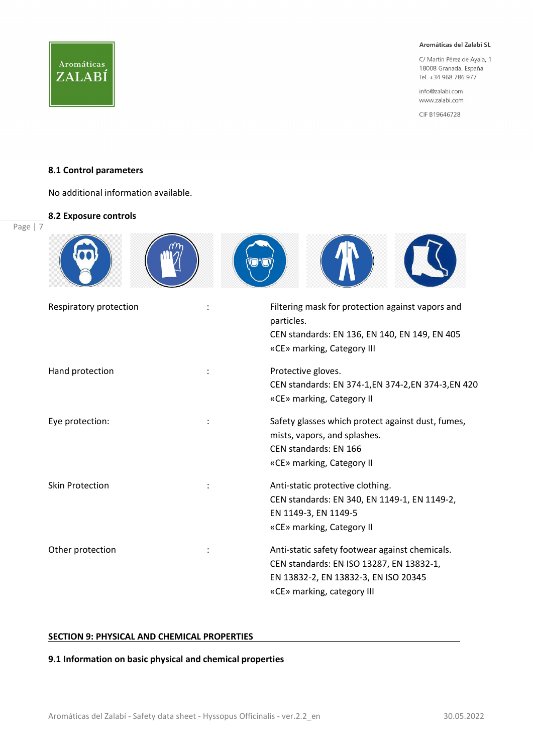C/ Martín Pérez de Ayala, 1 18008 Granada, España Tel. +34 968 786 977

info@zalabi.com www.zalabi.com

CIF B19646728

#### 8.1 Control parameters

No additional information available.

#### 8.2 Exposure controls

Page | 7

| Respiratory protection | Filtering mask for protection against vapors and<br>particles.<br>CEN standards: EN 136, EN 140, EN 149, EN 405<br>«CE» marking, Category III                    |
|------------------------|------------------------------------------------------------------------------------------------------------------------------------------------------------------|
| Hand protection        | Protective gloves.<br>CEN standards: EN 374-1, EN 374-2, EN 374-3, EN 420<br>«CE» marking, Category II                                                           |
| Eye protection:        | Safety glasses which protect against dust, fumes,<br>mists, vapors, and splashes.<br>CEN standards: EN 166<br>«CE» marking, Category II                          |
| <b>Skin Protection</b> | Anti-static protective clothing.<br>CEN standards: EN 340, EN 1149-1, EN 1149-2,<br>EN 1149-3, EN 1149-5<br>«CE» marking, Category II                            |
| Other protection       | Anti-static safety footwear against chemicals.<br>CEN standards: EN ISO 13287, EN 13832-1,<br>EN 13832-2, EN 13832-3, EN ISO 20345<br>«CE» marking, category III |

## **SECTION 9: PHYSICAL AND CHEMICAL PROPERTIES**

## 9.1 Information on basic physical and chemical properties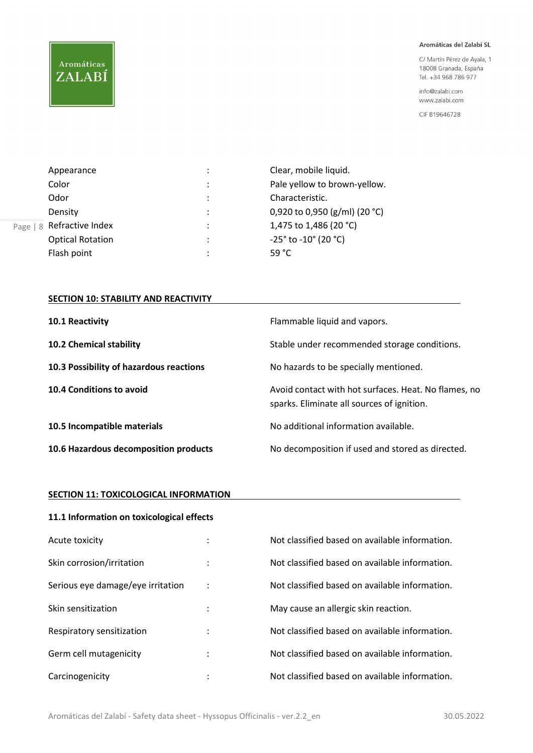# Aromáticas ZALABÍ

#### Aromáticas del Zalabí SL

C/ Martín Pérez de Ayala, 1 18008 Granada, España Tel. +34 968 786 977

info@zalabi.com www.zalabi.com

CIF B19646728

|      | Appearance              | ÷            | Clear, mobile liquid.                  |
|------|-------------------------|--------------|----------------------------------------|
|      | Color                   | ÷            | Pale yellow to brown-yellow.           |
|      | Odor                    | ÷            | Characteristic.                        |
|      | Density                 | ÷            | 0,920 to 0,950 (g/ml) (20 °C)          |
| Page | 8 Refractive Index      | ٠<br>$\cdot$ | 1,475 to 1,486 (20 °C)                 |
|      | <b>Optical Rotation</b> | ٠<br>$\cdot$ | $-25^{\circ}$ to $-10^{\circ}$ (20 °C) |
|      | Flash point             | $\bullet$    | 59 $^{\circ}$ C                        |

## SECTION 10: STABILITY AND REACTIVITY

| 10.1 Reactivity                         | Flammable liquid and vapors.                                                                       |
|-----------------------------------------|----------------------------------------------------------------------------------------------------|
| 10.2 Chemical stability                 | Stable under recommended storage conditions.                                                       |
| 10.3 Possibility of hazardous reactions | No hazards to be specially mentioned.                                                              |
| 10.4 Conditions to avoid                | Avoid contact with hot surfaces. Heat. No flames, no<br>sparks. Eliminate all sources of ignition. |
| 10.5 Incompatible materials             | No additional information available.                                                               |
| 10.6 Hazardous decomposition products   | No decomposition if used and stored as directed.                                                   |

#### SECTION 11: TOXICOLOGICAL INFORMATION

| 11.1 Information on toxicological effects |                                   |                                                |  |
|-------------------------------------------|-----------------------------------|------------------------------------------------|--|
| Acute toxicity                            | $\bullet$                         | Not classified based on available information. |  |
| Skin corrosion/irritation                 | $\cdot$                           | Not classified based on available information. |  |
| Serious eye damage/eye irritation         | ÷                                 | Not classified based on available information. |  |
| Skin sensitization                        | ٠<br>$\ddot{\phantom{a}}$         | May cause an allergic skin reaction.           |  |
| Respiratory sensitization                 | $\bullet$<br>$\ddot{\phantom{a}}$ | Not classified based on available information. |  |
| Germ cell mutagenicity                    | $\bullet$                         | Not classified based on available information. |  |
| Carcinogenicity                           | ٠                                 | Not classified based on available information. |  |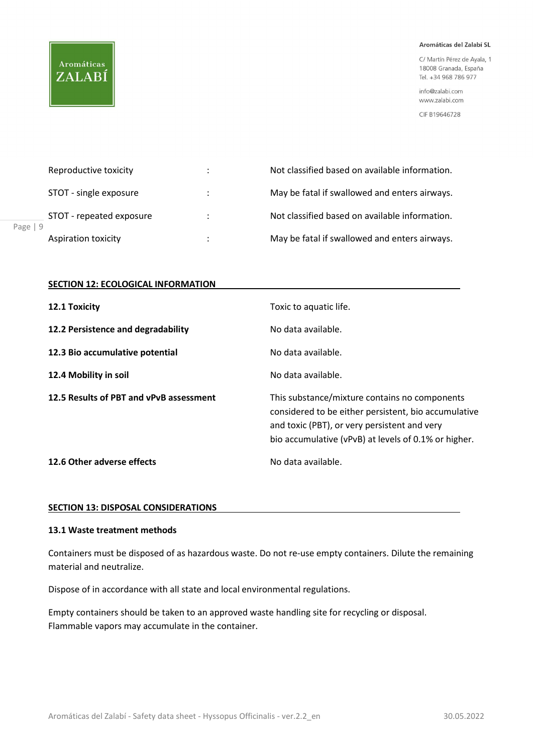# **Aromáticas** ZALABÍ

#### Aromáticas del Zalabí SL

C/ Martín Pérez de Ayala, 1 18008 Granada, España Tel. +34 968 786 977

info@zalabi.com www.zalabi.com

CIF B19646728

| Reproductive toxicity      | ÷                  | Not classified based on available information. |
|----------------------------|--------------------|------------------------------------------------|
| STOT - single exposure     | $\ddot{\cdot}$     | May be fatal if swallowed and enters airways.  |
| STOT - repeated exposure   | ÷                  | Not classified based on available information. |
| <b>Aspiration toxicity</b> | $\cdot$<br>$\cdot$ | May be fatal if swallowed and enters airways.  |

#### **SECTION 12: ECOLOGICAL INFORMATION**

| 12.1 Toxicity                           | Toxic to aquatic life.                                                                                                                                                                                        |
|-----------------------------------------|---------------------------------------------------------------------------------------------------------------------------------------------------------------------------------------------------------------|
| 12.2 Persistence and degradability      | No data available.                                                                                                                                                                                            |
| 12.3 Bio accumulative potential         | No data available.                                                                                                                                                                                            |
| 12.4 Mobility in soil                   | No data available.                                                                                                                                                                                            |
|                                         |                                                                                                                                                                                                               |
| 12.5 Results of PBT and vPvB assessment | This substance/mixture contains no components<br>considered to be either persistent, bio accumulative<br>and toxic (PBT), or very persistent and very<br>bio accumulative (vPvB) at levels of 0.1% or higher. |

#### SECTION 13: DISPOSAL CONSIDERATIONS

#### 13.1 Waste treatment methods

Containers must be disposed of as hazardous waste. Do not re-use empty containers. Dilute the remaining material and neutralize.

Dispose of in accordance with all state and local environmental regulations.

Empty containers should be taken to an approved waste handling site for recycling or disposal. Flammable vapors may accumulate in the container.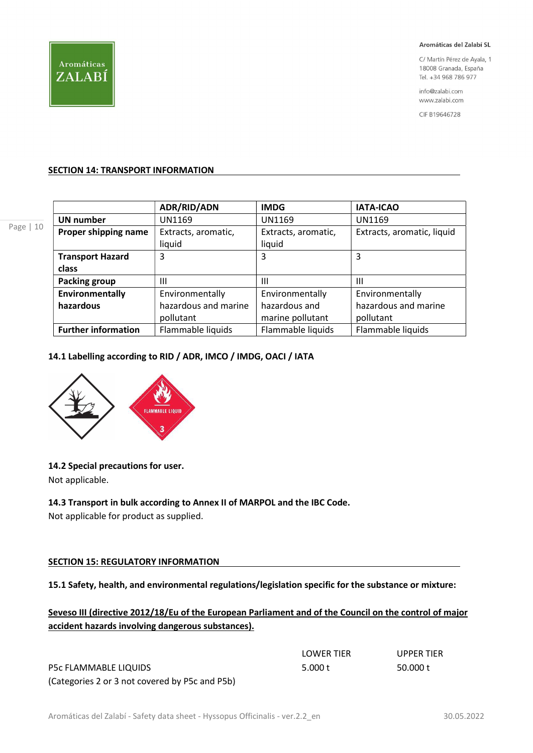

C/ Martín Pérez de Ayala, 1 18008 Granada, España Tel. +34 968 786 977

info@zalabi.com www.zalabi.com

CIF B19646728

#### SECTION 14: TRANSPORT INFORMATION

|                            | ADR/RID/ADN          | <b>IMDG</b>         | <b>IATA-ICAO</b>           |
|----------------------------|----------------------|---------------------|----------------------------|
| <b>UN number</b>           | UN1169               | <b>UN1169</b>       | UN1169                     |
| Proper shipping name       | Extracts, aromatic,  | Extracts, aromatic, | Extracts, aromatic, liquid |
|                            | liquid               | liquid              |                            |
| <b>Transport Hazard</b>    | 3                    | 3                   | 3                          |
| class                      |                      |                     |                            |
| <b>Packing group</b>       | Ш                    | Ш                   | Ш                          |
| Environmentally            | Environmentally      | Environmentally     | Environmentally            |
| hazardous                  | hazardous and marine | hazardous and       | hazardous and marine       |
|                            | pollutant            | marine pollutant    | pollutant                  |
| <b>Further information</b> | Flammable liquids    | Flammable liquids   | Flammable liquids          |

#### 14.1 Labelling according to RID / ADR, IMCO / IMDG, OACI / IATA



## 14.2 Special precautions for user.

Not applicable.

## 14.3 Transport in bulk according to Annex II of MARPOL and the IBC Code.

Not applicable for product as supplied.

## SECTION 15: REGULATORY INFORMATION

## 15.1 Safety, health, and environmental regulations/legislation specific for the substance or mixture:

## Seveso III (directive 2012/18/Eu of the European Parliament and of the Council on the control of major accident hazards involving dangerous substances).

|                                                | <b>LOWER TIER</b> | <b>UPPER TIER</b> |
|------------------------------------------------|-------------------|-------------------|
| P5c FLAMMABLE LIQUIDS                          | 5.000 t           | 50.000 t          |
| (Categories 2 or 3 not covered by P5c and P5b) |                   |                   |